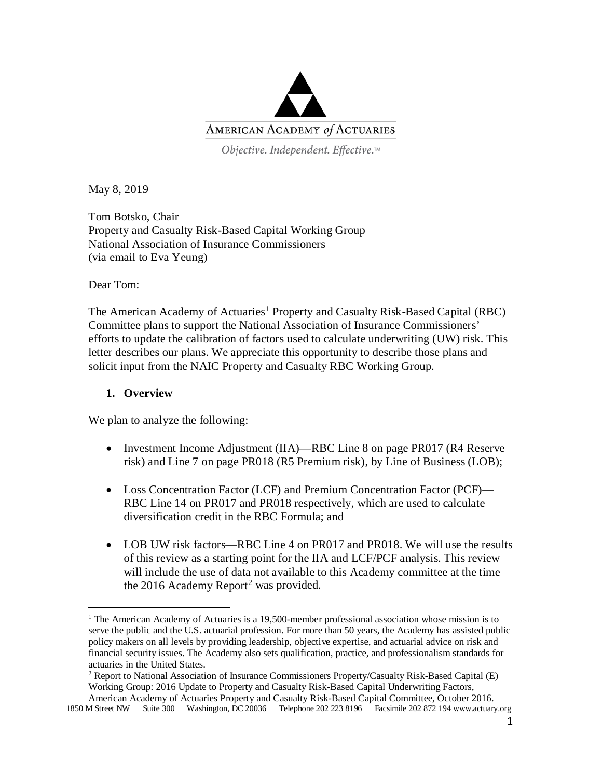

Objective. Independent. Effective.™

May 8, 2019

Tom Botsko, Chair Property and Casualty Risk-Based Capital Working Group National Association of Insurance Commissioners (via email to Eva Yeung)

Dear Tom:

 $\overline{a}$ 

The American Academy of Actuaries<sup>[1](#page-0-0)</sup> Property and Casualty Risk-Based Capital (RBC) Committee plans to support the National Association of Insurance Commissioners' efforts to update the calibration of factors used to calculate underwriting (UW) risk. This letter describes our plans. We appreciate this opportunity to describe those plans and solicit input from the NAIC Property and Casualty RBC Working Group.

#### **1. Overview**

We plan to analyze the following:

- Investment Income Adjustment (IIA)—RBC Line 8 on page PR017 (R4 Reserve risk) and Line 7 on page PR018 (R5 Premium risk), by Line of Business (LOB);
- Loss Concentration Factor (LCF) and Premium Concentration Factor (PCF)— RBC Line 14 on PR017 and PR018 respectively, which are used to calculate diversification credit in the RBC Formula; and
- LOB UW risk factors—RBC Line 4 on PR017 and PR018. We will use the results of this review as a starting point for the IIA and LCF/PCF analysis. This review will include the use of data not available to this Academy committee at the time the [2](#page-0-1)016 Academy Report<sup>2</sup> was provided.

<span id="page-0-0"></span><sup>&</sup>lt;sup>1</sup> The American Academy of Actuaries is a 19,500-member professional association whose mission is to serve the public and the U.S. actuarial profession. For more than 50 years, the Academy has assisted public policy makers on all levels by providing leadership, objective expertise, and actuarial advice on risk and financial security issues. The Academy also sets qualification, practice, and professionalism standards for actuaries in the United States.

<sup>&</sup>lt;sup>2</sup> Report to National Association of Insurance Commissioners Property/Casualty Risk-Based Capital (E) Working Group: 2016 Update to Property and Casualty Risk-Based Capital Underwriting Factors,

<span id="page-0-1"></span><sup>1850</sup> M Street NW Suite 300 Washington, DC 20036 Telephone 202 223 8196 Facsimile 202 872 194 www.actuary.org American Academy of Actuaries Property and Casualty Risk-Based Capital Committee, October 2016.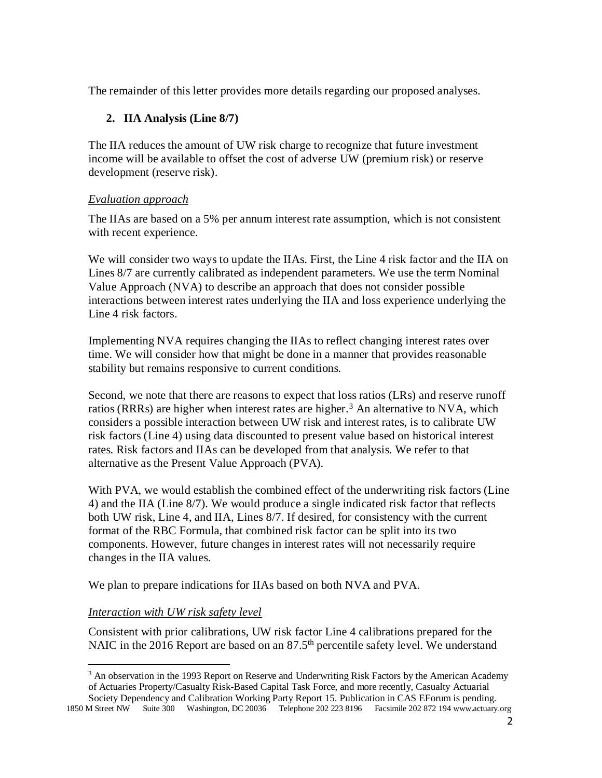The remainder of this letter provides more details regarding our proposed analyses.

## **2. IIA Analysis (Line 8/7)**

The IIA reduces the amount of UW risk charge to recognize that future investment income will be available to offset the cost of adverse UW (premium risk) or reserve development (reserve risk).

#### *Evaluation approach*

The IIAs are based on a 5% per annum interest rate assumption, which is not consistent with recent experience.

We will consider two ways to update the IIAs. First, the Line 4 risk factor and the IIA on Lines 8/7 are currently calibrated as independent parameters. We use the term Nominal Value Approach (NVA) to describe an approach that does not consider possible interactions between interest rates underlying the IIA and loss experience underlying the Line 4 risk factors.

Implementing NVA requires changing the IIAs to reflect changing interest rates over time. We will consider how that might be done in a manner that provides reasonable stability but remains responsive to current conditions.

Second, we note that there are reasons to expect that loss ratios (LRs) and reserve runoff ratios (RRRs) are higher when interest rates are higher.<sup>[3](#page-1-0)</sup> An alternative to NVA, which considers a possible interaction between UW risk and interest rates, is to calibrate UW risk factors (Line 4) using data discounted to present value based on historical interest rates. Risk factors and IIAs can be developed from that analysis. We refer to that alternative as the Present Value Approach (PVA).

With PVA, we would establish the combined effect of the underwriting risk factors (Line 4) and the IIA (Line 8/7). We would produce a single indicated risk factor that reflects both UW risk, Line 4, and IIA, Lines 8/7. If desired, for consistency with the current format of the RBC Formula, that combined risk factor can be split into its two components. However, future changes in interest rates will not necessarily require changes in the IIA values.

We plan to prepare indications for IIAs based on both NVA and PVA.

### *Interaction with UW risk safety level*

Consistent with prior calibrations, UW risk factor Line 4 calibrations prepared for the NAIC in the 2016 Report are based on an  $87.5<sup>th</sup>$  percentile safety level. We understand

<span id="page-1-0"></span>1850 M Street NW Suite 300 Washington, DC 20036 Telephone 202 223 8196 Facsimile 202 872 194 www.actuary.org Society Dependency and Calibration Working Party Report 15. Publication in CAS EForum is pending.

<sup>&</sup>lt;sup>3</sup> An observation in the 1993 Report on Reserve and Underwriting Risk Factors by the American Academy of Actuaries Property/Casualty Risk-Based Capital Task Force, and more recently, Casualty Actuarial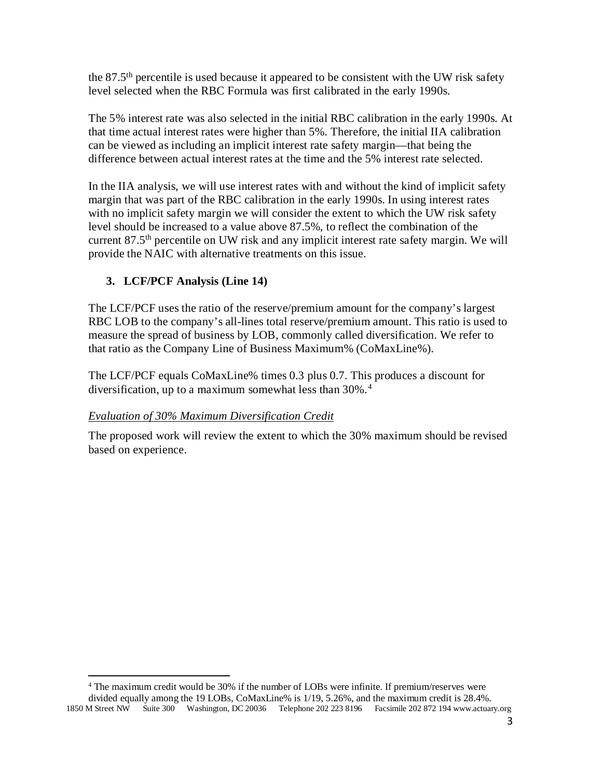the  $87.5<sup>th</sup>$  percentile is used because it appeared to be consistent with the UW risk safety level selected when the RBC Formula was first calibrated in the early 1990s.

The 5% interest rate was also selected in the initial RBC calibration in the early 1990s. At that time actual interest rates were higher than 5%. Therefore, the initial IIA calibration can be viewed as including an implicit interest rate safety margin—that being the difference between actual interest rates at the time and the 5% interest rate selected.

In the IIA analysis, we will use interest rates with and without the kind of implicit safety margin that was part of the RBC calibration in the early 1990s. In using interest rates with no implicit safety margin we will consider the extent to which the UW risk safety level should be increased to a value above 87.5%, to reflect the combination of the current  $87.5<sup>th</sup>$  percentile on UW risk and any implicit interest rate safety margin. We will provide the NAIC with alternative treatments on this issue.

# **3. LCF/PCF Analysis (Line 14)**

The LCF/PCF uses the ratio of the reserve/premium amount for the company's largest RBC LOB to the company's all-lines total reserve/premium amount. This ratio is used to measure the spread of business by LOB, commonly called diversification. We refer to that ratio as the Company Line of Business Maximum% (CoMaxLine%).

The LCF/PCF equals CoMaxLine% times 0.3 plus 0.7. This produces a discount for diversification, up to a maximum somewhat less than 30%.<sup>[4](#page-2-0)</sup>

### *Evaluation of 30% Maximum Diversification Credit*

The proposed work will review the extent to which the 30% maximum should be revised based on experience.

<span id="page-2-0"></span>1850 M Street NW Suite 300 Washington, DC 20036 Telephone 202 223 8196 Facsimile 202 872 194 www.actuary.org  $\overline{a}$ <sup>4</sup> The maximum credit would be 30% if the number of LOBs were infinite. If premium/reserves were divided equally among the 19 LOBs, CoMaxLine% is 1/19, 5.26%, and the maximum credit is 28.4%.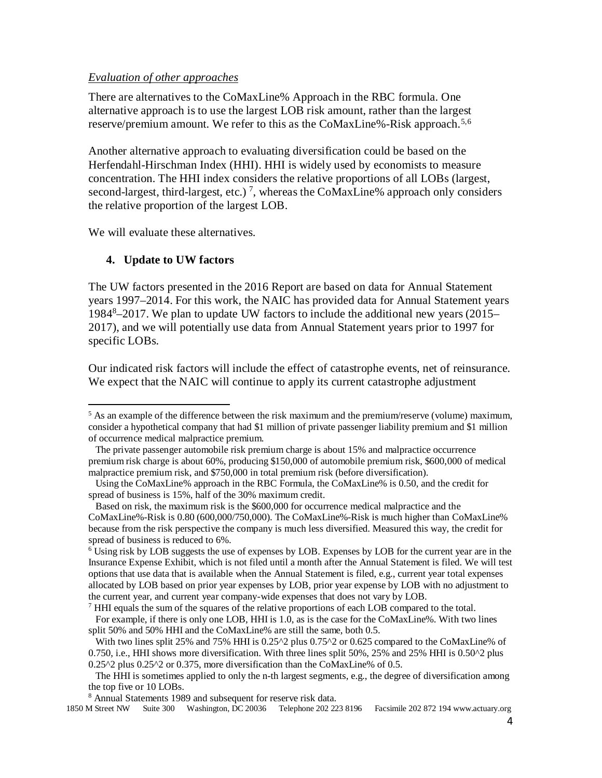#### *Evaluation of other approaches*

There are alternatives to the CoMaxLine% Approach in the RBC formula. One alternative approach is to use the largest LOB risk amount, rather than the largest reserve/premium amount. We refer to this as the CoMaxLine%-Risk approach.<sup>[5](#page-3-0),[6](#page-3-1)</sup>

Another alternative approach to evaluating diversification could be based on the Herfendahl-Hirschman Index (HHI). HHI is widely used by economists to measure concentration. The HHI index considers the relative proportions of all LOBs (largest, second-largest, third-largest, etc.)<sup>[7](#page-3-2)</sup>, whereas the CoMaxLine% approach only considers the relative proportion of the largest LOB.

We will evaluate these alternatives.

### **4. Update to UW factors**

 $\overline{a}$ 

The UW factors presented in the 2016 Report are based on data for Annual Statement years 1997–2014. For this work, the NAIC has provided data for Annual Statement years 198[48](#page-3-3) –2017. We plan to update UW factors to include the additional new years (2015– 2017), and we will potentially use data from Annual Statement years prior to 1997 for specific LOBs.

Our indicated risk factors will include the effect of catastrophe events, net of reinsurance. We expect that the NAIC will continue to apply its current catastrophe adjustment

<span id="page-3-2"></span> $<sup>7</sup>$  HHI equals the sum of the squares of the relative proportions of each LOB compared to the total.</sup>

<span id="page-3-0"></span><sup>&</sup>lt;sup>5</sup> As an example of the difference between the risk maximum and the premium/reserve (volume) maximum, consider a hypothetical company that had \$1 million of private passenger liability premium and \$1 million of occurrence medical malpractice premium.

The private passenger automobile risk premium charge is about 15% and malpractice occurrence premium risk charge is about 60%, producing \$150,000 of automobile premium risk, \$600,000 of medical malpractice premium risk, and \$750,000 in total premium risk (before diversification).

Using the CoMaxLine% approach in the RBC Formula, the CoMaxLine% is 0.50, and the credit for spread of business is 15%, half of the 30% maximum credit.

Based on risk, the maximum risk is the \$600,000 for occurrence medical malpractice and the CoMaxLine%-Risk is 0.80 (600,000/750,000). The CoMaxLine%-Risk is much higher than CoMaxLine% because from the risk perspective the company is much less diversified. Measured this way, the credit for spread of business is reduced to 6%.

<span id="page-3-1"></span><sup>&</sup>lt;sup>6</sup> Using risk by LOB suggests the use of expenses by LOB. Expenses by LOB for the current year are in the Insurance Expense Exhibit, which is not filed until a month after the Annual Statement is filed. We will test options that use data that is available when the Annual Statement is filed, e.g., current year total expenses allocated by LOB based on prior year expenses by LOB, prior year expense by LOB with no adjustment to the current year, and current year company-wide expenses that does not vary by LOB.

For example, if there is only one LOB, HHI is 1.0, as is the case for the CoMaxLine%. With two lines split 50% and 50% HHI and the CoMaxLine% are still the same, both 0.5.

With two lines split 25% and 75% HHI is 0.25^2 plus 0.75^2 or 0.625 compared to the CoMaxLine% of 0.750, i.e., HHI shows more diversification. With three lines split 50%, 25% and 25% HHI is 0.50^2 plus 0.25^2 plus 0.25^2 or 0.375, more diversification than the CoMaxLine% of 0.5.

The HHI is sometimes applied to only the n-th largest segments, e.g., the degree of diversification among the top five or 10 LOBs.

<sup>8</sup> Annual Statements 1989 and subsequent for reserve risk data.

<span id="page-3-3"></span><sup>1850</sup> M Street NW Suite 300 Washington, DC 20036 Telephone 202 223 8196 Facsimile 202 872 194 www.actuary.org